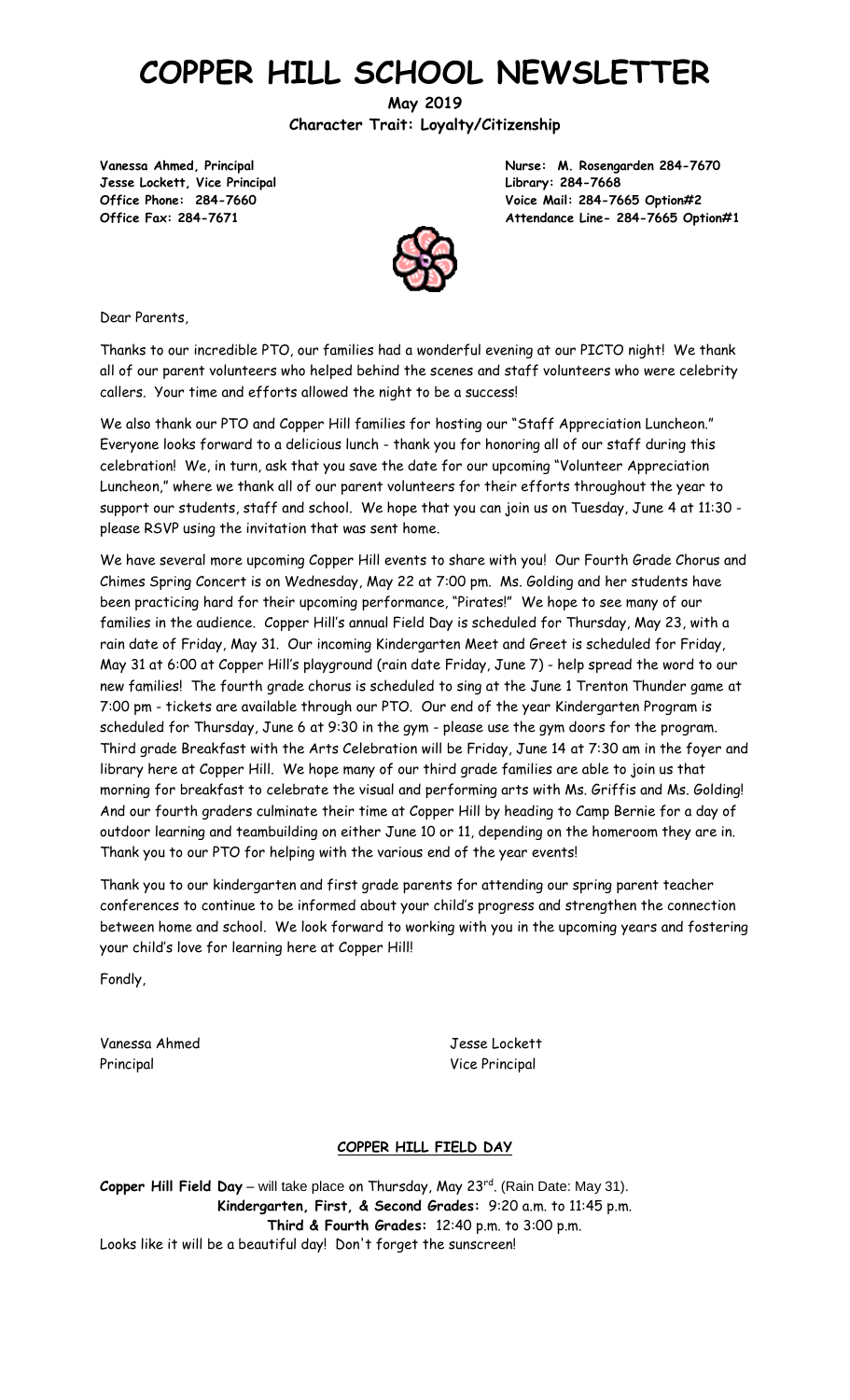# **COPPER HILL SCHOOL NEWSLETTER**

**May 2019 Character Trait: Loyalty/Citizenship**

**Jesse Lockett, Vice Principal Library: 284-7668**

**Vanessa Ahmed, Principal Nurse: M. Rosengarden 284-7670 Office Phone: 284-7660 Voice Mail: 284-7665 Option#2 Office Fax: 284-7671 Attendance Line- 284-7665 Option#1**



Dear Parents,

Thanks to our incredible PTO, our families had a wonderful evening at our PICTO night! We thank all of our parent volunteers who helped behind the scenes and staff volunteers who were celebrity callers. Your time and efforts allowed the night to be a success!

We also thank our PTO and Copper Hill families for hosting our "Staff Appreciation Luncheon." Everyone looks forward to a delicious lunch - thank you for honoring all of our staff during this celebration! We, in turn, ask that you save the date for our upcoming "Volunteer Appreciation Luncheon," where we thank all of our parent volunteers for their efforts throughout the year to support our students, staff and school. We hope that you can join us on Tuesday, June 4 at 11:30 please RSVP using the invitation that was sent home.

We have several more upcoming Copper Hill events to share with you! Our Fourth Grade Chorus and Chimes Spring Concert is on Wednesday, May 22 at 7:00 pm. Ms. Golding and her students have been practicing hard for their upcoming performance, "Pirates!" We hope to see many of our families in the audience. Copper Hill's annual Field Day is scheduled for Thursday, May 23, with a rain date of Friday, May 31. Our incoming Kindergarten Meet and Greet is scheduled for Friday, May 31 at 6:00 at Copper Hill's playground (rain date Friday, June 7) - help spread the word to our new families! The fourth grade chorus is scheduled to sing at the June 1 Trenton Thunder game at 7:00 pm - tickets are available through our PTO. Our end of the year Kindergarten Program is scheduled for Thursday, June 6 at 9:30 in the gym - please use the gym doors for the program. Third grade Breakfast with the Arts Celebration will be Friday, June 14 at 7:30 am in the foyer and library here at Copper Hill. We hope many of our third grade families are able to join us that morning for breakfast to celebrate the visual and performing arts with Ms. Griffis and Ms. Golding! And our fourth graders culminate their time at Copper Hill by heading to Camp Bernie for a day of outdoor learning and teambuilding on either June 10 or 11, depending on the homeroom they are in. Thank you to our PTO for helping with the various end of the year events!

Thank you to our kindergarten and first grade parents for attending our spring parent teacher conferences to continue to be informed about your child's progress and strengthen the connection between home and school. We look forward to working with you in the upcoming years and fostering your child's love for learning here at Copper Hill!

Fondly,

Vanessa Ahmed Jesse Lockett Principal Vice Principal Vice Principal Vice Principal Vice Principal Vice Principal Vice Principal Vice Principal Vice Principal Vice Principal Vice Principal Vice Principal Vice Principal Vice Principal Vice Principal Vi

#### **COPPER HILL FIELD DAY**

Copper Hill Field Day – will take place on Thursday, May 23<sup>rd</sup>. (Rain Date: May 31). **Kindergarten, First, & Second Grades:** 9:20 a.m. to 11:45 p.m. **Third & Fourth Grades:** 12:40 p.m. to 3:00 p.m. Looks like it will be a beautiful day! Don't forget the sunscreen!